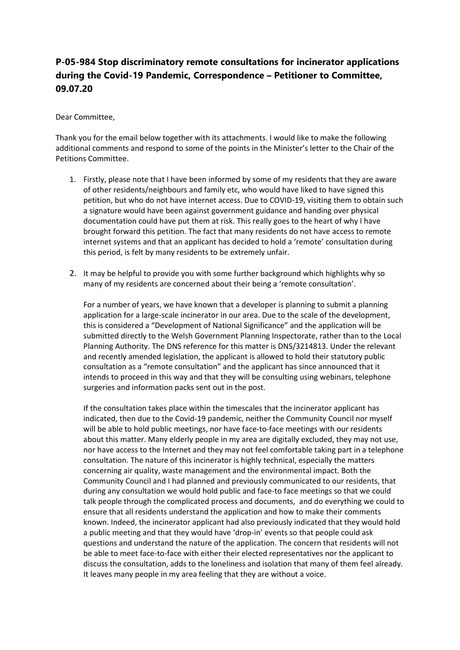## **P-05-984 Stop discriminatory remote consultations for incinerator applications during the Covid-19 Pandemic, Correspondence – Petitioner to Committee, 09.07.20**

## Dear Committee,

Thank you for the email below together with its attachments. I would like to make the following additional comments and respond to some of the points in the Minister's letter to the Chair of the Petitions Committee.

- 1. Firstly, please note that I have been informed by some of my residents that they are aware of other residents/neighbours and family etc, who would have liked to have signed this petition, but who do not have internet access. Due to COVID-19, visiting them to obtain such a signature would have been against government guidance and handing over physical documentation could have put them at risk. This really goes to the heart of why I have brought forward this petition. The fact that many residents do not have access to remote internet systems and that an applicant has decided to hold a 'remote' consultation during this period, is felt by many residents to be extremely unfair.
- 2. It may be helpful to provide you with some further background which highlights why so many of my residents are concerned about their being a 'remote consultation'.

For a number of years, we have known that a developer is planning to submit a planning application for a large-scale incinerator in our area. Due to the scale of the development, this is considered a "Development of National Significance" and the application will be submitted directly to the Welsh Government Planning Inspectorate, rather than to the Local Planning Authority. The DNS reference for this matter is DNS/3214813. Under the relevant and recently amended legislation, the applicant is allowed to hold their statutory public consultation as a "remote consultation" and the applicant has since announced that it intends to proceed in this way and that they will be consulting using webinars, telephone surgeries and information packs sent out in the post.

If the consultation takes place within the timescales that the incinerator applicant has indicated, then due to the Covid-19 pandemic, neither the Community Council nor myself will be able to hold public meetings, nor have face-to-face meetings with our residents about this matter. Many elderly people in my area are digitally excluded, they may not use, nor have access to the Internet and they may not feel comfortable taking part in a telephone consultation. The nature of this incinerator is highly technical, especially the matters concerning air quality, waste management and the environmental impact. Both the Community Council and I had planned and previously communicated to our residents, that during any consultation we would hold public and face-to face meetings so that we could talk people through the complicated process and documents, and do everything we could to ensure that all residents understand the application and how to make their comments known. Indeed, the incinerator applicant had also previously indicated that they would hold a public meeting and that they would have 'drop-in' events so that people could ask questions and understand the nature of the application. The concern that residents will not be able to meet face-to-face with either their elected representatives nor the applicant to discuss the consultation, adds to the loneliness and isolation that many of them feel already. It leaves many people in my area feeling that they are without a voice.